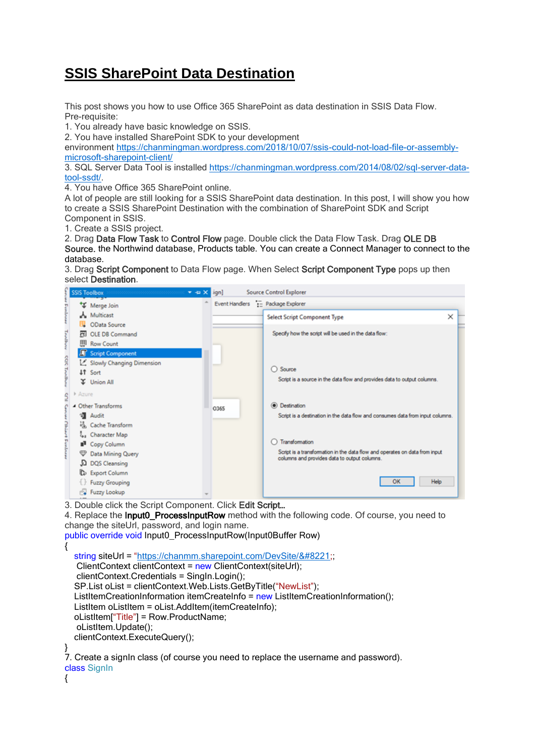## **SSIS SharePoint Data Destination**

This post shows you how to use Office 365 SharePoint as data destination in SSIS Data Flow. Pre-requisite:

1. You already have basic knowledge on SSIS.

2. You have installed SharePoint SDK to your development

environment https://chanmingman.wordpress.com/2018/10/07/ssis-could-not-load-file-or-assemblymicrosoft-sharepoint-client/

3. SQL Server Data Tool is installed https://chanmingman.wordpress.com/2014/08/02/sql-server-datatool-ssdt/.

4. You have Office 365 SharePoint online.

A lot of people are still looking for a SSIS SharePoint data destination. In this post, I will show you how to create a SSIS SharePoint Destination with the combination of SharePoint SDK and Script Component in SSIS.

1. Create a SSIS project.

2. Drag Data Flow Task to Control Flow page. Double click the Data Flow Task. Drag OLE DB Source. the Northwind database, Products table. You can create a Connect Manager to connect to the database.

3. Drag Script Component to Data Flow page. When Select Script Component Type pops up then select Destination.



3. Double click the Script Component. Click Edit Script…

4. Replace the Input0\_ProcessInputRow method with the following code. Of course, you need to change the siteUrl, password, and login name.

public override void Input0\_ProcessInputRow(Input0Buffer Row)

```
{
  string siteUrl = "https://chanmm.sharepoint.com/DevSite/&#8221::
   ClientContext clientContext = new ClientContext(siteUrl);
   clientContext.Credentials = SingIn.Login();
   SP.List oList = clientContext.Web.Lists.GetByTitle("NewList");
  ListItemCreationInformation itemCreateInfo = new ListItemCreationInformation();
  ListItem oListItem = oList.AddItem(itemCreateInfo);
   oListItem["Title"] = Row.ProductName;
   oListItem.Update();
   clientContext.ExecuteQuery();
}
7. Create a signIn class (of course you need to replace the username and password).
```
class SignIn {